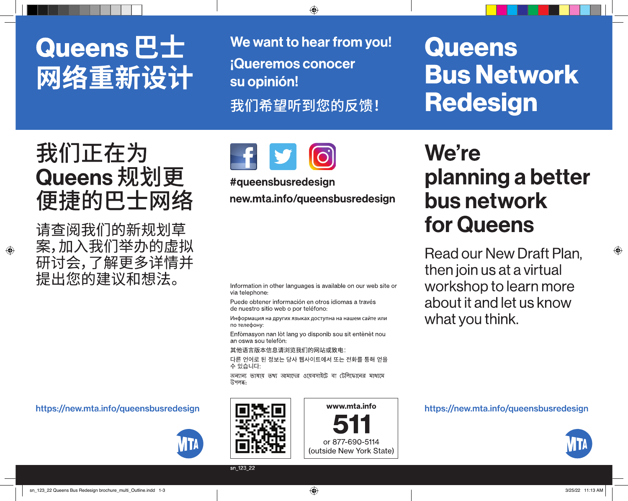# Queens **巴士** 网络重新设计

We want to hear from you! **iQueremos conocer** su opinión! 我们希望听到您的反馈!

**Queens Bus Network Redesign** 

## 我们正在为 Queens 规划更 便捷的巴士网络

请查阅我们的新规划草 案,加入我们举办的虚拟 研讨会,了解更多详情并 提出您的建议和想法。

https://new.mta.info/queensbusredesign





new.mta.info/queensbusredesign

Information in other languages is available on our web site or via telephone:

Puede obtener información en otros idiomas a través de nuestro sitio web o por teléfono:

Информация на других языках доступна на нашем сайте или по телефону:

Enfòmasyon nan lòt lang yo disponib sou sit entènèt nou an oswa sou telefòn:

其他语言版本信息请浏览我们的网站或致电:

다른 언어로 된 정보는 당사 웹사이트에서 또는 전화를 통해 얻을 수 있습니다:

অন্যান্য ভাষায় তথ্য আমাদের ওয়েবসাইটে বা টেলিফোনের মাধ্যমে উপলব্ধ:



www.mta.info

or 877-690-5114 (outside New York State)

## We're planning a better bus network for Queens

Read our New Draft Plan, then join us at a virtual workshop to learn more about it and let us know what you think.

https://new.mta.info/queensbusredesign